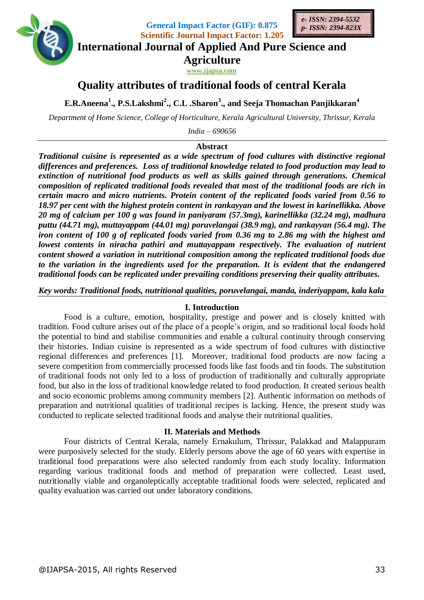

**General Impact Factor (GIF): 0.875 Scientific Journal Impact Factor: 1.205**



**International Journal of Applied And Pure Science and**

**Agriculture**

**www.ijapsa.com** 

# **Quality attributes of traditional foods of central Kerala**

**E.R.Aneena<sup>1</sup> ., P.S.Lakshmi<sup>2</sup> ., C.L .Sharon<sup>3</sup> ., and Seeja Thomachan Panjikkaran<sup>4</sup>**

*Department of Home Science, College of Horticulture, Kerala Agricultural University, Thrissur, Kerala*

*India – 690656*

# **Abstract**

*Traditional cuisine is represented as a wide spectrum of food cultures with distinctive regional differences and preferences. Loss of traditional knowledge related to food production may lead to extinction of nutritional food products as well as skills gained through generations. Chemical composition of replicated traditional foods revealed that most of the traditional foods are rich in certain macro and micro nutrients. Protein content of the replicated foods varied from 0.56 to 18.97 per cent with the highest protein content in rankayyan and the lowest in karinellikka. Above 20 mg of calcium per 100 g was found in paniyaram (57.3mg), karinellikka (32.24 mg), madhura puttu (44.71 mg), muttayappam (44.01 mg) poruvelangai (38.9 mg), and rankayyan (56.4 mg). The iron content of 100 g of replicated foods varied from 0.36 mg to 2.86 mg with the highest and lowest contents in niracha pathiri and muttayappam respectively. The evaluation of nutrient content showed a variation in nutritional composition among the replicated traditional foods due to the variation in the ingredients used for the preparation. It is evident that the endangered traditional foods can be replicated under prevailing conditions preserving their quality attributes.*

*Key words: Traditional foods, nutritional qualities, poruvelangai, manda, inderiyappam, kala kala*

### **I. Introduction**

Food is a culture, emotion, hospitality, prestige and power and is closely knitted with tradition. Food culture arises out of the place of a people's origin, and so traditional local foods hold the potential to bind and stabilise communities and enable a cultural continuity through conserving their histories. Indian cuisine is represented as a wide spectrum of food cultures with distinctive regional differences and preferences [1]. Moreover, traditional food products are now facing a severe competition from commercially processed foods like fast foods and tin foods. The substitution of traditional foods not only led to a loss of production of traditionally and culturally appropriate food, but also in the loss of traditional knowledge related to food production. It created serious health and socio economic problems among community members [2]. Authentic information on methods of preparation and nutritional qualities of traditional recipes is lacking. Hence, the present study was conducted to replicate selected traditional foods and analyse their nutritional qualities.

#### **II. Materials and Methods**

Four districts of Central Kerala, namely Ernakulum, Thrissur, Palakkad and Malappuram were purposively selected for the study. Elderly persons above the age of 60 years with expertise in traditional food preparations were also selected randomly from each study locality. Information regarding various traditional foods and method of preparation were collected. Least used, nutritionally viable and organoleptically acceptable traditional foods were selected, replicated and quality evaluation was carried out under laboratory conditions.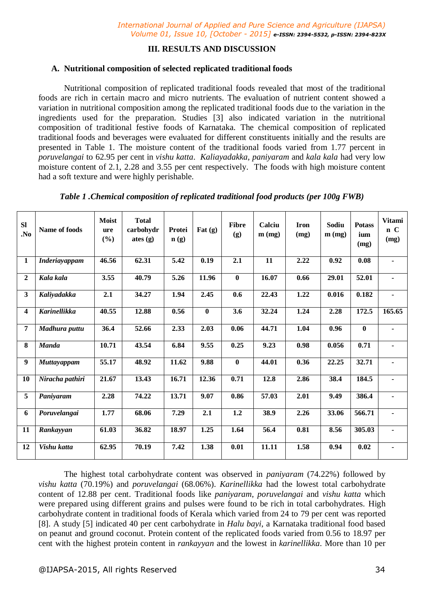# **III. RESULTS AND DISCUSSION**

# **A. Nutritional composition of selected replicated traditional foods**

Nutritional composition of replicated traditional foods revealed that most of the traditional foods are rich in certain macro and micro nutrients. The evaluation of nutrient content showed a variation in nutritional composition among the replicated traditional foods due to the variation in the ingredients used for the preparation. Studies [3] also indicated variation in the nutritional composition of traditional festive foods of Karnataka. The chemical composition of replicated traditional foods and beverages were evaluated for different constituents initially and the results are presented in Table 1. The moisture content of the traditional foods varied from 1.77 percent in *poruvelangai* to 62.95 per cent in *vishu katta*. *Kaliayadakka*, *paniyaram* and *kala kala* had very low moisture content of 2.1, 2.28 and 3.55 per cent respectively. The foods with high moisture content had a soft texture and were highly perishable.

| Name of foods        | <b>Moist</b><br>ure<br>(%) | <b>Total</b><br>carbohydr<br>ates $(g)$ | Protei<br>$\mathbf{n}(\mathbf{g})$ | Fat $(g)$ | <b>Fibre</b><br>(g) | Calciu<br>$m$ (mg) | <b>Iron</b><br>(mg) | Sodiu<br>$m$ (mg) | <b>Potass</b><br>ium<br>(mg) | <b>Vitami</b><br>n C<br>(mg) |
|----------------------|----------------------------|-----------------------------------------|------------------------------------|-----------|---------------------|--------------------|---------------------|-------------------|------------------------------|------------------------------|
| <b>Inderiayappam</b> | 46.56                      | 62.31                                   | 5.42                               | 0.19      | 2.1                 | 11                 | 2.22                | 0.92              | 0.08                         | $\blacksquare$               |
| Kala kala            | 3.55                       | 40.79                                   | 5.26                               | 11.96     | $\bf{0}$            | 16.07              | 0.66                | 29.01             | 52.01                        | ٠                            |
| Kaliyadakka          | 2.1                        | 34.27                                   | 1.94                               | 2.45      | 0.6                 | 22.43              | 1.22                | 0.016             | 0.182                        | $\blacksquare$               |
| <b>Karinellikka</b>  | 40.55                      | 12.88                                   | 0.56                               | $\bf{0}$  | 3.6                 | 32.24              | 1.24                | 2.28              | 172.5                        | 165.65                       |
| Madhura puttu        | 36.4                       | 52.66                                   | 2.33                               | 2.03      | 0.06                | 44.71              | 1.04                | 0.96              | $\bf{0}$                     |                              |
| <b>Manda</b>         | 10.71                      | 43.54                                   | 6.84                               | 9.55      | 0.25                | 9.23               | 0.98                | 0.056             | 0.71                         |                              |
| <b>Muttayappam</b>   | 55.17                      | 48.92                                   | 11.62                              | 9.88      | $\bf{0}$            | 44.01              | 0.36                | 22.25             | 32.71                        | ٠                            |
| Niracha pathiri      | 21.67                      | 13.43                                   | 16.71                              | 12.36     | 0.71                | 12.8               | 2.86                | 38.4              | 184.5                        | $\blacksquare$               |
| Paniyaram            | 2.28                       | 74.22                                   | 13.71                              | 9.07      | 0.86                | 57.03              | 2.01                | 9.49              | 386.4                        | ٠                            |
| Poruvelangai         | 1.77                       | 68.06                                   | 7.29                               | 2.1       | 1.2                 | 38.9               | 2.26                | 33.06             | 566.71                       | $\blacksquare$               |
| Rankayyan            | 61.03                      | 36.82                                   | 18.97                              | 1.25      | 1.64                | 56.4               | 0.81                | 8.56              | 305.03                       | $\blacksquare$               |
| Vishu katta          | 62.95                      | 70.19                                   | 7.42                               | 1.38      | 0.01                | 11.11              | 1.58                | 0.94              | 0.02                         |                              |
|                      |                            |                                         |                                    |           |                     |                    |                     |                   |                              |                              |

*Table 1 .Chemical composition of replicated traditional food products (per 100g FWB)*

The highest total carbohydrate content was observed in *paniyaram* (74.22%) followed by *vishu katta* (70.19%) and *poruvelangai* (68.06%). *Karinellikka* had the lowest total carbohydrate content of 12.88 per cent. Traditional foods like *paniyaram*, *poruvelangai* and *vishu katta* which were prepared using different grains and pulses were found to be rich in total carbohydrates. High carbohydrate content in traditional foods of Kerala which varied from 24 to 79 per cent was reported [8]. A study [5] indicated 40 per cent carbohydrate in *Halu bayi*, a Karnataka traditional food based on peanut and ground coconut. Protein content of the replicated foods varied from 0.56 to 18.97 per cent with the highest protein content in *rankayyan* and the lowest in *karinellikka*. More than 10 per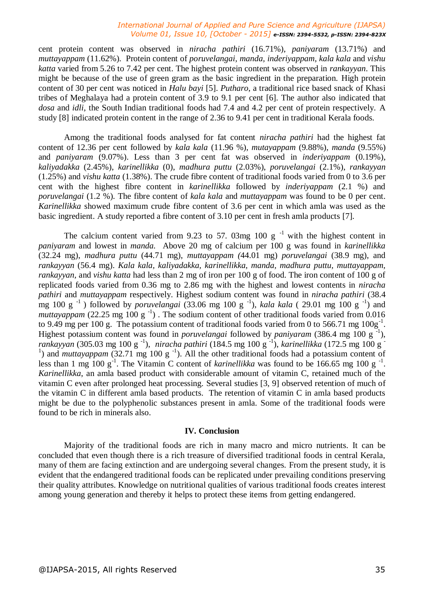#### *International Journal of Applied and Pure Science and Agriculture (IJAPSA) Volume 01, Issue 10, [October - 2015] e-ISSN: 2394-5532, p-ISSN: 2394-823X*

cent protein content was observed in *niracha pathiri* (16.71%), *paniyaram* (13.71%) and *muttayappam* (11.62%). Protein content of *poruvelangai, manda, inderiyappam*, *kala kala* and *vishu katta* varied from 5.26 to 7.42 per cent. The highest protein content was observed in *rankayyan*. This might be because of the use of green gram as the basic ingredient in the preparation. High protein content of 30 per cent was noticed in *Halu bayi* [5]. *Putharo*, a traditional rice based snack of Khasi tribes of Meghalaya had a protein content of 3.9 to 9.1 per cent [6]. The author also indicated that *dosa* and *idli*, the South Indian traditional foods had 7.4 and 4.2 per cent of protein respectively. A study [8] indicated protein content in the range of 2.36 to 9.41 per cent in traditional Kerala foods.

Among the traditional foods analysed for fat content *niracha pathiri* had the highest fat content of 12.36 per cent followed by *kala kala* (11.96 %), *mutayappam* (9.88%), *manda* (9.55%) and *paniyaram* (9.07%). Less than 3 per cent fat was observed in *inderiyappam* (0.19%), *kaliyadakka* (2.45%), *karinellikka* (0), *madhura puttu* (2.03%), *poruvelangai* (2.1%), *rankayyan* (1.25%) and *vishu katta* (1.38%). The crude fibre content of traditional foods varied from 0 to 3.6 per cent with the highest fibre content in *karinellikka* followed by *inderiyappam* (2.1 %) and *poruvelangai* (1.2 %). The fibre content of *kala kala* and *muttayappam* was found to be 0 per cent. *Karinellikka* showed maximum crude fibre content of 3.6 per cent in which amla was used as the basic ingredient. A study reported a fibre content of 3.10 per cent in fresh amla products [7].

The calcium content varied from 9.23 to 57. 03mg 100 g $^{-1}$  with the highest content in *paniyaram* and lowest in *manda.* Above 20 mg of calcium per 100 g was found in *karinellikka* (32.24 mg), *madhura puttu* (44.71 mg), *muttayappam (*44.01 mg) *poruvelangai* (38.9 mg), and *rankayyan* (56.4 mg). *Kala kala, kaliyadakka, karinellikka*, *manda, madhura puttu, muttayappam, rankayyan,* and *vishu katta* had less than 2 mg of iron per 100 g of food. The iron content of 100 g of replicated foods varied from 0.36 mg to 2.86 mg with the highest and lowest contents in *niracha pathiri* and *muttayappam* respectively. Highest sodium content was found in *niracha pathiri* (38.4 mg 100 g<sup>-1</sup>) followed by *poruvelangai* (33.06 mg 100 g<sup>-1</sup>), *kala kala* (29.01 mg 100 g<sup>-1</sup>) and muttayappam (22.25 mg 100 g<sup>-1</sup>). The sodium content of other traditional foods varied from 0.016 to 9.49 mg per 100 g. The potassium content of traditional foods varied from 0 to 566.71 mg  $100g^{-1}$ . Highest potassium content was found in *poruvelangai* followed by *paniyaram* (386.4 mg 100 g  $^{1}$ ), rankayyan (305.03 mg 100 g<sup>-1</sup>), *niracha pathiri* (184.5 mg 100 g<sup>-1</sup>), *karinellikka* (172.5 mg 100 g<sup>-1</sup>) <sup>1</sup>) and *muttayappam* (32.71 mg 100 g<sup>-1</sup>). All the other traditional foods had a potassium content of less than 1 mg  $100 \text{ g}^{-1}$ . The Vitamin C content of *karinellikka* was found to be 166.65 mg  $100 \text{ g}^{-1}$ . *Karinellikka*, an amla based product with considerable amount of vitamin C, retained much of the vitamin C even after prolonged heat processing. Several studies [3, 9] observed retention of much of the vitamin C in different amla based products. The retention of vitamin C in amla based products might be due to the polyphenolic substances present in amla. Some of the traditional foods were found to be rich in minerals also.

#### **IV. Conclusion**

Majority of the traditional foods are rich in many macro and micro nutrients. It can be concluded that even though there is a rich treasure of diversified traditional foods in central Kerala, many of them are facing extinction and are undergoing several changes. From the present study, it is evident that the endangered traditional foods can be replicated under prevailing conditions preserving their quality attributes. Knowledge on nutritional qualities of various traditional foods creates interest among young generation and thereby it helps to protect these items from getting endangered.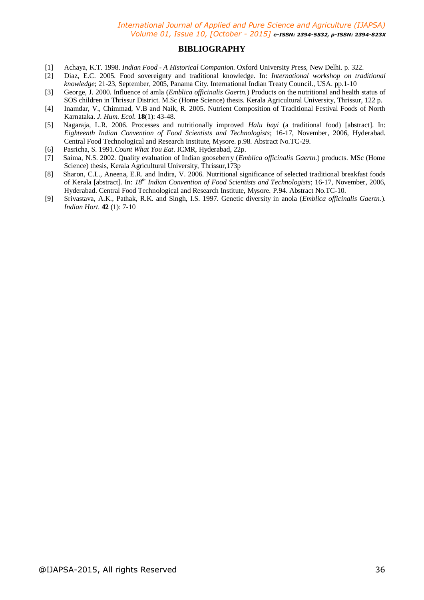#### **BIBLIOGRAPHY**

- [1] Achaya, K.T. 1998. *Indian Food - A Historical Companion.* Oxford University Press, New Delhi. p. 322.
- [2] Diaz, E.C. 2005. Food sovereignty and traditional knowledge. In: *International workshop on traditional knowledge*; 21-23, September, 2005, Panama City. International Indian Treaty Council., USA. pp.1-10
- [3] George, J. 2000. Influence of amla (*Emblica officinalis Gaertn.*) Products on the nutritional and health status of SOS children in Thrissur District. M.Sc (Home Science) thesis. Kerala Agricultural University, Thrissur, 122 p.
- [4] Inamdar, V., Chimmad, V.B and Naik, R. 2005. Nutrient Composition of Traditional Festival Foods of North Karnataka. *J. Hum. Ecol.* **18**(1): 43-48.
- [5] Nagaraja, L.R. 2006. Processes and nutritionally improved *Halu bayi* (a traditional food) [abstract]. In: *Eighteenth Indian Convention of Food Scientists and Technologists*; 16-17, November, 2006, Hyderabad. Central Food Technological and Research Institute, Mysore. p.98. Abstract No.TC-29.
- [6] Pasricha, S. 1991.*Count What You Eat*. ICMR, Hyderabad, 22p.
- [7] Saima, N.S. 2002. Quality evaluation of Indian gooseberry (*Emblica officinalis Gaertn*.) products. MSc (Home Science) thesis, Kerala Agricultural University, Thrissur,173p
- [8] Sharon, C.L., Aneena, E.R. and Indira, V. 2006. Nutritional significance of selected traditional breakfast foods of Kerala [abstract]. In: *18th Indian Convention of Food Scientists and Technologists*; 16-17, November, 2006, Hyderabad. Central Food Technological and Research Institute, Mysore. P.94. Abstract No.TC-10.
- [9] Srivastava, A.K., Pathak, R.K. and Singh, I.S. 1997. Genetic diversity in anola (*Emblica officinalis Gaertn*.). *Indian Hort*. **42** (1): 7-10